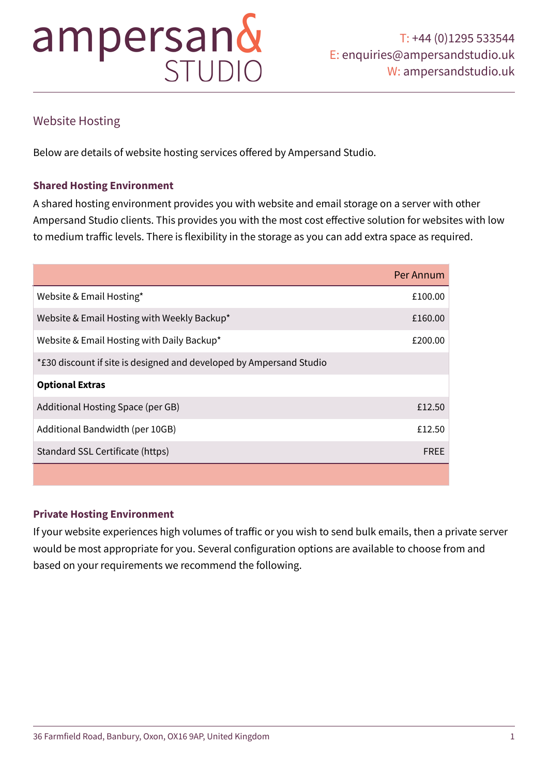## Website Hosting

Below are details of website hosting services offered by Ampersand Studio.

## **Shared Hosting Environment**

A shared hosting environment provides you with website and email storage on a server with other Ampersand Studio clients. This provides you with the most cost effective solution for websites with low to medium traffic levels. There is flexibility in the storage as you can add extra space as required.

|                                                                     | Per Annum   |
|---------------------------------------------------------------------|-------------|
| Website & Email Hosting*                                            | £100.00     |
| Website & Email Hosting with Weekly Backup*                         | £160.00     |
| Website & Email Hosting with Daily Backup*                          | £200.00     |
| *£30 discount if site is designed and developed by Ampersand Studio |             |
| <b>Optional Extras</b>                                              |             |
| Additional Hosting Space (per GB)                                   | £12.50      |
| Additional Bandwidth (per 10GB)                                     | £12.50      |
| Standard SSL Certificate (https)                                    | <b>FREE</b> |
|                                                                     |             |

## **Private Hosting Environment**

If your website experiences high volumes of traffic or you wish to send bulk emails, then a private server would be most appropriate for you. Several configuration options are available to choose from and based on your requirements we recommend the following.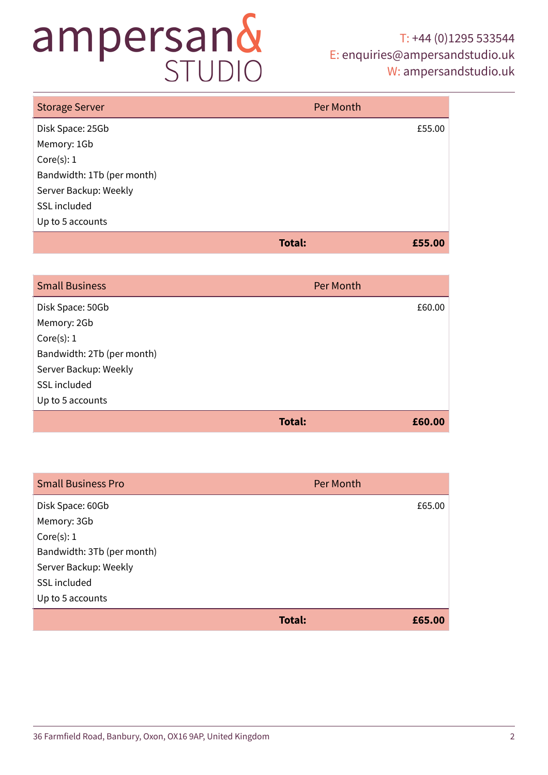## T: +44 (0)1295 533544 E: [enquiries@ampersandstudio.uk](mailto:enquiries@ampersandstudio.uk) W: [ampersandstudio.uk](http://ampersandstudio.uk)

| <b>Storage Server</b>      | Per Month |        |
|----------------------------|-----------|--------|
| Disk Space: 25Gb           |           | £55.00 |
| Memory: 1Gb                |           |        |
| Core(s): 1                 |           |        |
| Bandwidth: 1Tb (per month) |           |        |
| Server Backup: Weekly      |           |        |
| SSL included               |           |        |
| Up to 5 accounts           |           |        |
|                            | Total:    | £55.00 |

## Small Business Per Month Company of the Company of the Company of the Per Month Per Month

| <b>UITIGHT DUSTITUS</b>    | <b>I CEMPIOLI</b>       |
|----------------------------|-------------------------|
| Disk Space: 50Gb           | £60.00                  |
| Memory: 2Gb                |                         |
| Core(s): 1                 |                         |
| Bandwidth: 2Tb (per month) |                         |
| Server Backup: Weekly      |                         |
| SSL included               |                         |
| Up to 5 accounts           |                         |
|                            | <b>Total:</b><br>£60.00 |
|                            |                         |

| <b>Small Business Pro</b>  | Per Month               |
|----------------------------|-------------------------|
| Disk Space: 60Gb           | £65.00                  |
| Memory: 3Gb                |                         |
| Core(s): 1                 |                         |
| Bandwidth: 3Tb (per month) |                         |
| Server Backup: Weekly      |                         |
| SSL included               |                         |
| Up to 5 accounts           |                         |
|                            | <b>Total:</b><br>£65.00 |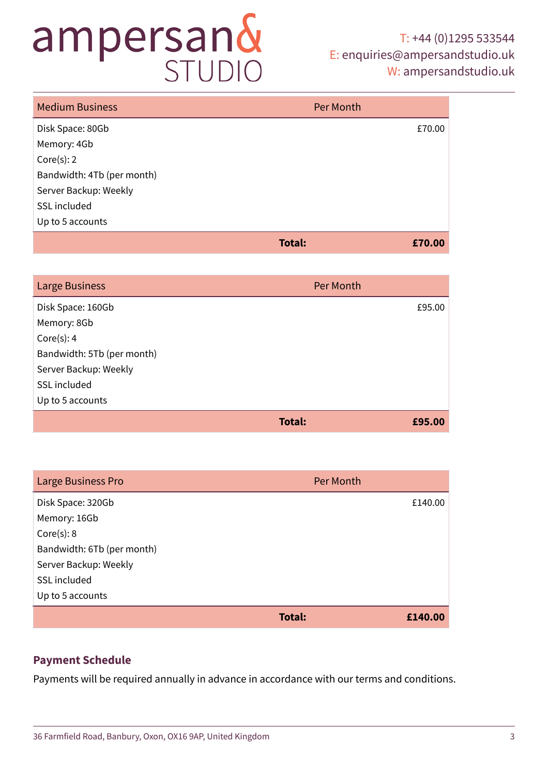## T: +44 (0)1295 533544 E: [enquiries@ampersandstudio.uk](mailto:enquiries@ampersandstudio.uk) W: [ampersandstudio.uk](http://ampersandstudio.uk)

| <b>Medium Business</b>     | Per Month |
|----------------------------|-----------|
| Disk Space: 80Gb           | £70.00    |
| Memory: 4Gb                |           |
| Core(s): 2                 |           |
| Bandwidth: 4Tb (per month) |           |
| Server Backup: Weekly      |           |
| SSL included               |           |
| Up to 5 accounts           |           |
| Total:                     | £70.00    |

| <b>Large Business</b>      | Per Month |
|----------------------------|-----------|
| Disk Space: 160Gb          | £95.00    |
| Memory: 8Gb                |           |
| Core(s): 4                 |           |
| Bandwidth: 5Tb (per month) |           |
| Server Backup: Weekly      |           |
| SSL included               |           |
| Up to 5 accounts           |           |
| Total:                     | £95.00    |

| Large Business Pro         | Per Month         |
|----------------------------|-------------------|
| Disk Space: 320Gb          | £140.00           |
| Memory: 16Gb               |                   |
| Core(s): 8                 |                   |
| Bandwidth: 6Tb (per month) |                   |
| Server Backup: Weekly      |                   |
| SSL included               |                   |
| Up to 5 accounts           |                   |
|                            | Total:<br>£140.00 |

## **Payment Schedule**

Payments will be required annually in advance in accordance with our terms and conditions.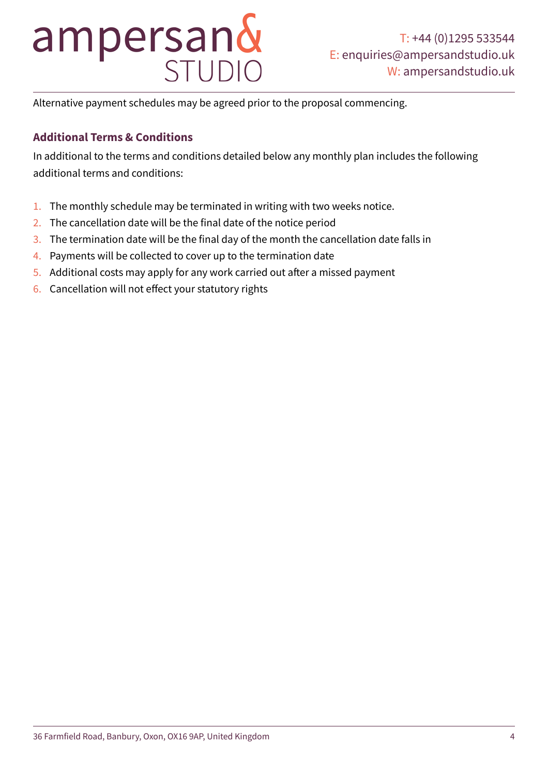# ampersan&

Alternative payment schedules may be agreed prior to the proposal commencing.

## **Additional Terms & Conditions**

In additional to the terms and conditions detailed below any monthly plan includes the following additional terms and conditions:

- 1. The monthly schedule may be terminated in writing with two weeks notice.
- 2. The cancellation date will be the final date of the notice period
- 3. The termination date will be the final day of the month the cancellation date falls in
- 4. Payments will be collected to cover up to the termination date
- 5. Additional costs may apply for any work carried out after a missed payment
- 6. Cancellation will not effect your statutory rights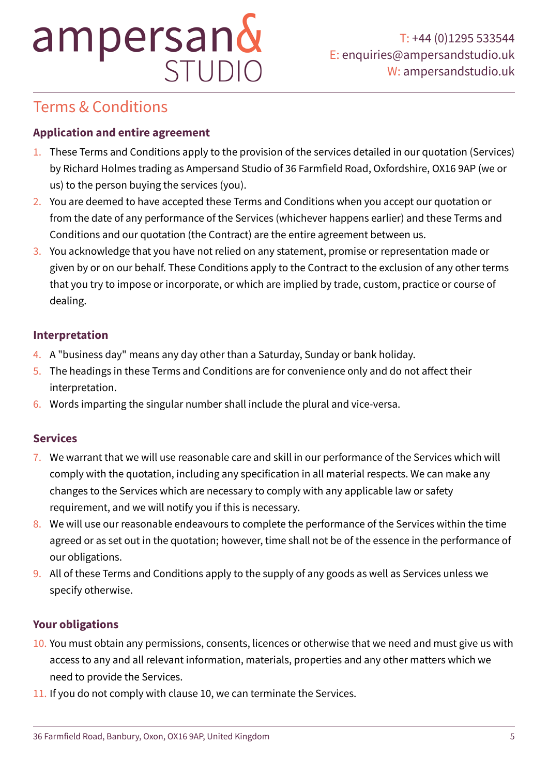## Terms & Conditions

## **Application and entire agreement**

- 1. These Terms and Conditions apply to the provision of the services detailed in our quotation (Services) by Richard Holmes trading as Ampersand Studio of 36 Farmfield Road, Oxfordshire, OX16 9AP (we or us) to the person buying the services (you).
- 2. You are deemed to have accepted these Terms and Conditions when you accept our quotation or from the date of any performance of the Services (whichever happens earlier) and these Terms and Conditions and our quotation (the Contract) are the entire agreement between us.
- 3. You acknowledge that you have not relied on any statement, promise or representation made or given by or on our behalf. These Conditions apply to the Contract to the exclusion of any other terms that you try to impose or incorporate, or which are implied by trade, custom, practice or course of dealing.

## **Interpretation**

- 4. A "business day" means any day other than a Saturday, Sunday or bank holiday.
- 5. The headings in these Terms and Conditions are for convenience only and do not affect their interpretation.
- 6. Words imparting the singular number shall include the plural and vice-versa.

## **Services**

- 7. We warrant that we will use reasonable care and skill in our performance of the Services which will comply with the quotation, including any specification in all material respects. We can make any changes to the Services which are necessary to comply with any applicable law or safety requirement, and we will notify you if this is necessary.
- 8. We will use our reasonable endeavours to complete the performance of the Services within the time agreed or as set out in the quotation; however, time shall not be of the essence in the performance of our obligations.
- 9. All of these Terms and Conditions apply to the supply of any goods as well as Services unless we specify otherwise.

## **Your obligations**

- 10. You must obtain any permissions, consents, licences or otherwise that we need and must give us with access to any and all relevant information, materials, properties and any other matters which we need to provide the Services.
- 11. If you do not comply with clause 10, we can terminate the Services.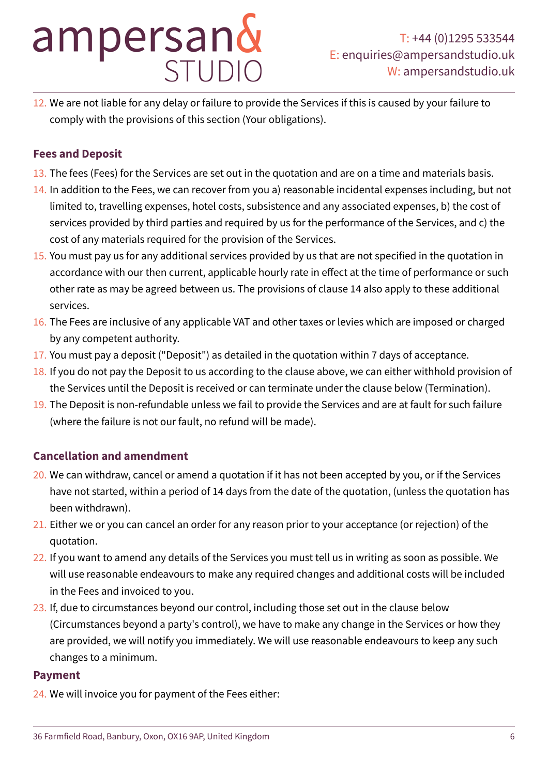12. We are not liable for any delay or failure to provide the Services if this is caused by your failure to comply with the provisions of this section (Your obligations).

## **Fees and Deposit**

- 13. The fees (Fees) for the Services are set out in the quotation and are on a time and materials basis.
- 14. In addition to the Fees, we can recover from you a) reasonable incidental expenses including, but not limited to, travelling expenses, hotel costs, subsistence and any associated expenses, b) the cost of services provided by third parties and required by us for the performance of the Services, and c) the cost of any materials required for the provision of the Services.
- 15. You must pay us for any additional services provided by us that are not specified in the quotation in accordance with our then current, applicable hourly rate in effect at the time of performance or such other rate as may be agreed between us. The provisions of clause 14 also apply to these additional services.
- 16. The Fees are inclusive of any applicable VAT and other taxes or levies which are imposed or charged by any competent authority.
- 17. You must pay a deposit ("Deposit") as detailed in the quotation within 7 days of acceptance.
- 18. If you do not pay the Deposit to us according to the clause above, we can either withhold provision of the Services until the Deposit is received or can terminate under the clause below (Termination).
- 19. The Deposit is non-refundable unless we fail to provide the Services and are at fault for such failure (where the failure is not our fault, no refund will be made).

## **Cancellation and amendment**

- 20. We can withdraw, cancel or amend a quotation if it has not been accepted by you, or if the Services have not started, within a period of 14 days from the date of the quotation, (unless the quotation has been withdrawn).
- 21. Either we or you can cancel an order for any reason prior to your acceptance (or rejection) of the quotation.
- 22. If you want to amend any details of the Services you must tell us in writing as soon as possible. We will use reasonable endeavours to make any required changes and additional costs will be included in the Fees and invoiced to you.
- 23. If, due to circumstances beyond our control, including those set out in the clause below (Circumstances beyond a party's control), we have to make any change in the Services or how they are provided, we will notify you immediately. We will use reasonable endeavours to keep any such changes to a minimum.

## **Payment**

24. We will invoice you for payment of the Fees either: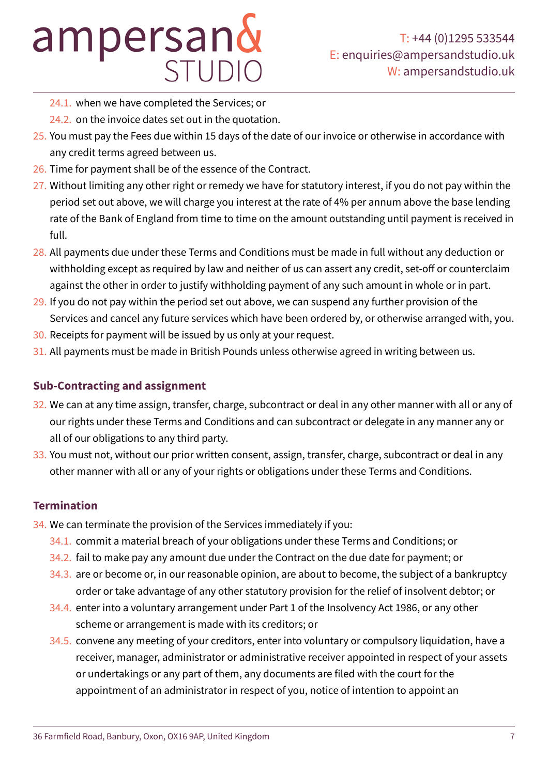- 24.1. when we have completed the Services; or
- 24.2. on the invoice dates set out in the quotation.
- 25. You must pay the Fees due within 15 days of the date of our invoice or otherwise in accordance with any credit terms agreed between us.
- 26. Time for payment shall be of the essence of the Contract.
- 27. Without limiting any other right or remedy we have for statutory interest, if you do not pay within the period set out above, we will charge you interest at the rate of 4% per annum above the base lending rate of the Bank of England from time to time on the amount outstanding until payment is received in full.
- 28. All payments due under these Terms and Conditions must be made in full without any deduction or withholding except as required by law and neither of us can assert any credit, set-off or counterclaim against the other in order to justify withholding payment of any such amount in whole or in part.
- 29. If you do not pay within the period set out above, we can suspend any further provision of the Services and cancel any future services which have been ordered by, or otherwise arranged with, you.
- 30. Receipts for payment will be issued by us only at your request.
- 31. All payments must be made in British Pounds unless otherwise agreed in writing between us.

## **Sub-Contracting and assignment**

- 32. We can at any time assign, transfer, charge, subcontract or deal in any other manner with all or any of our rights under these Terms and Conditions and can subcontract or delegate in any manner any or all of our obligations to any third party.
- 33. You must not, without our prior written consent, assign, transfer, charge, subcontract or deal in any other manner with all or any of your rights or obligations under these Terms and Conditions.

## **Termination**

- 34. We can terminate the provision of the Services immediately if you:
	- 34.1. commit a material breach of your obligations under these Terms and Conditions; or
	- 34.2. fail to make pay any amount due under the Contract on the due date for payment; or
	- 34.3. are or become or, in our reasonable opinion, are about to become, the subject of a bankruptcy order or take advantage of any other statutory provision for the relief of insolvent debtor; or
	- 34.4. enter into a voluntary arrangement under Part 1 of the Insolvency Act 1986, or any other scheme or arrangement is made with its creditors; or
	- 34.5. convene any meeting of your creditors, enter into voluntary or compulsory liquidation, have a receiver, manager, administrator or administrative receiver appointed in respect of your assets or undertakings or any part of them, any documents are filed with the court for the appointment of an administrator in respect of you, notice of intention to appoint an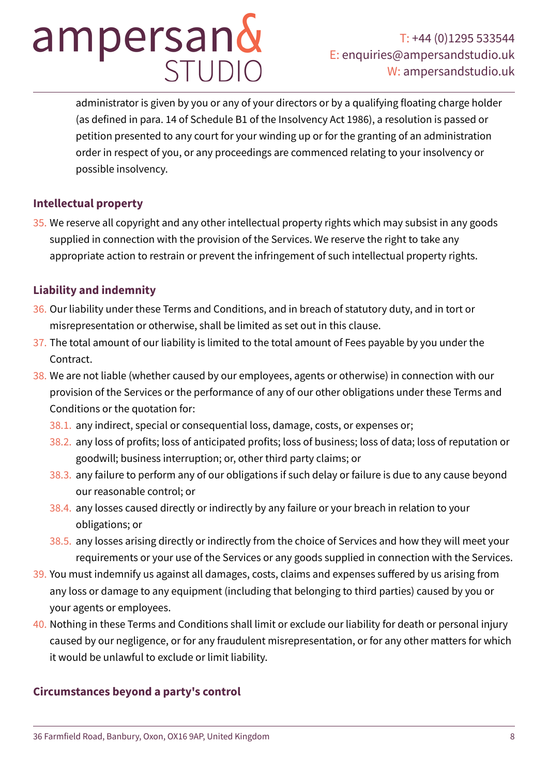administrator is given by you or any of your directors or by a qualifying floating charge holder (as defined in para. 14 of Schedule B1 of the Insolvency Act 1986), a resolution is passed or petition presented to any court for your winding up or for the granting of an administration order in respect of you, or any proceedings are commenced relating to your insolvency or possible insolvency.

## **Intellectual property**

35. We reserve all copyright and any other intellectual property rights which may subsist in any goods supplied in connection with the provision of the Services. We reserve the right to take any appropriate action to restrain or prevent the infringement of such intellectual property rights.

## **Liability and indemnity**

- 36. Our liability under these Terms and Conditions, and in breach of statutory duty, and in tort or misrepresentation or otherwise, shall be limited as set out in this clause.
- 37. The total amount of our liability is limited to the total amount of Fees payable by you under the Contract.
- 38. We are not liable (whether caused by our employees, agents or otherwise) in connection with our provision of the Services or the performance of any of our other obligations under these Terms and Conditions or the quotation for:
	- 38.1. any indirect, special or consequential loss, damage, costs, or expenses or;
	- 38.2. any loss of profits; loss of anticipated profits; loss of business; loss of data; loss of reputation or goodwill; business interruption; or, other third party claims; or
	- 38.3. any failure to perform any of our obligations if such delay or failure is due to any cause beyond our reasonable control; or
	- 38.4. any losses caused directly or indirectly by any failure or your breach in relation to your obligations; or
	- 38.5. any losses arising directly or indirectly from the choice of Services and how they will meet your requirements or your use of the Services or any goods supplied in connection with the Services.
- 39. You must indemnify us against all damages, costs, claims and expenses suffered by us arising from any loss or damage to any equipment (including that belonging to third parties) caused by you or your agents or employees.
- 40. Nothing in these Terms and Conditions shall limit or exclude our liability for death or personal injury caused by our negligence, or for any fraudulent misrepresentation, or for any other matters for which it would be unlawful to exclude or limit liability.

## **Circumstances beyond a party's control**